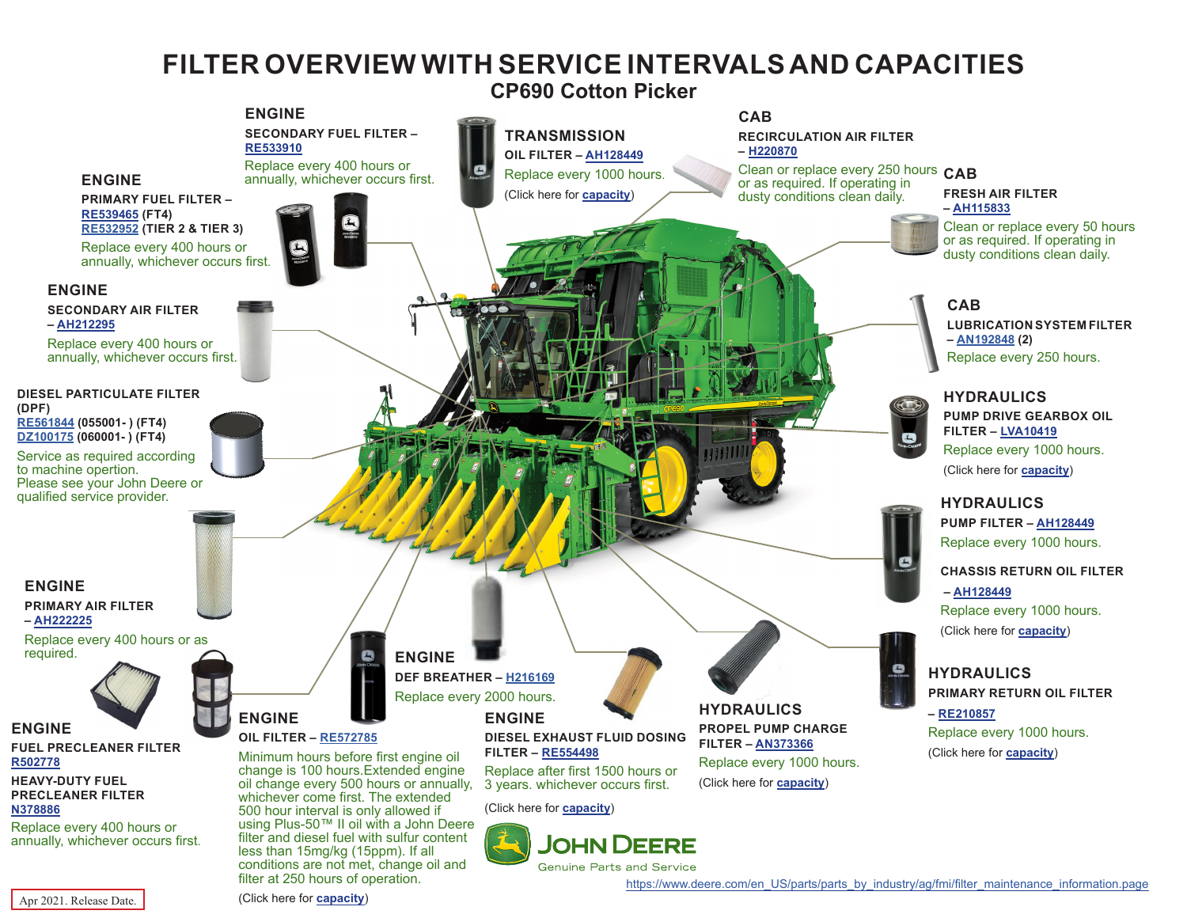## **FILTER OVERVIEW WITH SERVICE INTERVALS AND CAPACITIES**

**CP690 Cotton Picker**

<span id="page-0-0"></span>

**Genuine Parts and Service** 

Apr 2021. Release Date.

(Click here for **[capacity](#page-1-0)**)

filter at 250 hours of operation.

[https://www.deere.com/en\\_US/parts/parts\\_by\\_industry/ag/fmi/filter\\_maintenance\\_information.page](https://www.deere.com/en_US/parts/parts_by_industry/ag/fmi/filter_maintenance_information.page)